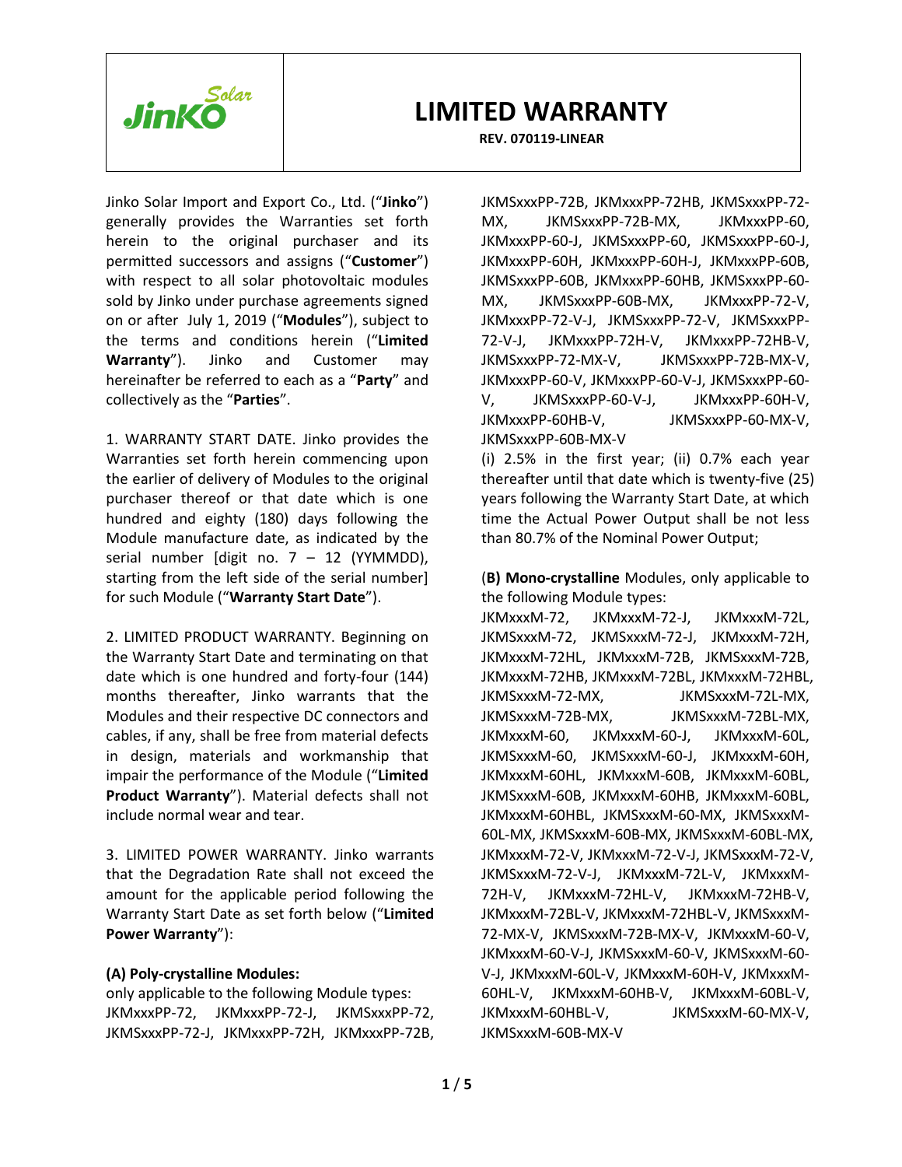

#### **REV. 070119-LINEAR**

Jinko Solar Import and Export Co., Ltd. ("**Jinko**") generally provides the Warranties set forth herein to the original purchaser and its permitted successors and assigns ("**Customer**") with respect to all solar photovoltaic modules sold by Jinko under purchase agreements signed on or after July 1, 2019 ("**Modules**"), subject to the terms and conditions herein ("**Limited Warranty**"). Jinko and Customer may hereinafter be referred to each as a "**Party**" and collectively as the "**Parties**".

1. WARRANTY START DATE. Jinko provides the Warranties set forth herein commencing upon the earlier of delivery of Modules to the original purchaser thereof or that date which is one hundred and eighty (180) days following the Module manufacture date, as indicated by the serial number [digit no.  $7 - 12$  (YYMMDD), starting from the left side of the serial number] for such Module ("**Warranty Start Date**").

2. LIMITED PRODUCT WARRANTY. Beginning on the Warranty Start Date and terminating on that date which is one hundred and forty-four (144) months thereafter, Jinko warrants that the Modules and their respective DC connectors and cables, if any, shall be free from material defects in design, materials and workmanship that impair the performance of the Module ("**Limited Product Warranty**"). Material defects shall not include normal wear and tear.

3. LIMITED POWER WARRANTY. Jinko warrants that the Degradation Rate shall not exceed the amount for the applicable period following the Warranty Start Date as set forth below ("**Limited Power Warranty**"):

### **(A) Poly-crystalline Modules:**

only applicable to the following Module types: JKMxxxPP-72, JKMxxxPP-72-J, JKMSxxxPP-72, JKMSxxxPP-72-J, JKMxxxPP-72H, JKMxxxPP-72B,

JKMSxxxPP-72B, JKMxxxPP-72HB, JKMSxxxPP-72- MX, JKMSxxxPP-72B-MX, JKMxxxPP-60, JKMxxxPP-60-J, JKMSxxxPP-60, JKMSxxxPP-60-J, JKMxxxPP-60H, JKMxxxPP-60H-J, JKMxxxPP-60B, JKMSxxxPP-60B, JKMxxxPP-60HB, JKMSxxxPP-60- MX, JKMSxxxPP-60B-MX, JKMxxxPP-72-V, JKMxxxPP-72-V-J, JKMSxxxPP-72-V, JKMSxxxPP-72-V-J, JKMxxxPP-72H-V, JKMxxxPP-72HB-V, JKMSxxxPP-72-MX-V, JKMSxxxPP-72B-MX-V, JKMxxxPP-60-V, JKMxxxPP-60-V-J, JKMSxxxPP-60- V, JKMSxxxPP-60-V-J, JKMxxxPP-60H-V, JKMxxxPP-60HB-V, JKMSxxxPP-60-MX-V, JKMSxxxPP-60B-MX-V

(i) 2.5% in the first year; (ii) 0.7% each year thereafter until that date which is twenty-five (25) years following the Warranty Start Date, at which time the Actual Power Output shall be not less than 80.7% of the Nominal Power Output;

(**B) Mono-crystalline** Modules, only applicable to the following Module types:

JKMxxxM-72, JKMxxxM-72-J, JKMxxxM-72L, JKMSxxxM-72, JKMSxxxM-72-J, JKMxxxM-72H, JKMxxxM-72HL, JKMxxxM-72B, JKMSxxxM-72B, JKMxxxM-72HB, JKMxxxM-72BL, JKMxxxM-72HBL, JKMSxxxM-72-MX, JKMSxxxM-72L-MX, JKMSxxxM-72B-MX, JKMSxxxM-72BL-MX, JKMxxxM-60, JKMxxxM-60-J, JKMxxxM-60L, JKMSxxxM-60, JKMSxxxM-60-J, JKMxxxM-60H, JKMxxxM-60HL, JKMxxxM-60B, JKMxxxM-60BL, JKMSxxxM-60B, JKMxxxM-60HB, JKMxxxM-60BL, JKMxxxM-60HBL, JKMSxxxM-60-MX, JKMSxxxM-60L-MX, JKMSxxxM-60B-MX, JKMSxxxM-60BL-MX, JKMxxxM-72-V, JKMxxxM-72-V-J, JKMSxxxM-72-V, JKMSxxxM-72-V-J, JKMxxxM-72L-V, JKMxxxM-72H-V, JKMxxxM-72HL-V, JKMxxxM-72HB-V, JKMxxxM-72BL-V, JKMxxxM-72HBL-V, JKMSxxxM-72-MX-V, JKMSxxxM-72B-MX-V, JKMxxxM-60-V, JKMxxxM-60-V-J, JKMSxxxM-60-V, JKMSxxxM-60- V-J, JKMxxxM-60L-V, JKMxxxM-60H-V, JKMxxxM-60HL-V, JKMxxxM-60HB-V, JKMxxxM-60BL-V, JKMxxxM-60HBL-V, JKMSxxxM-60-MX-V, JKMSxxxM-60B-MX-V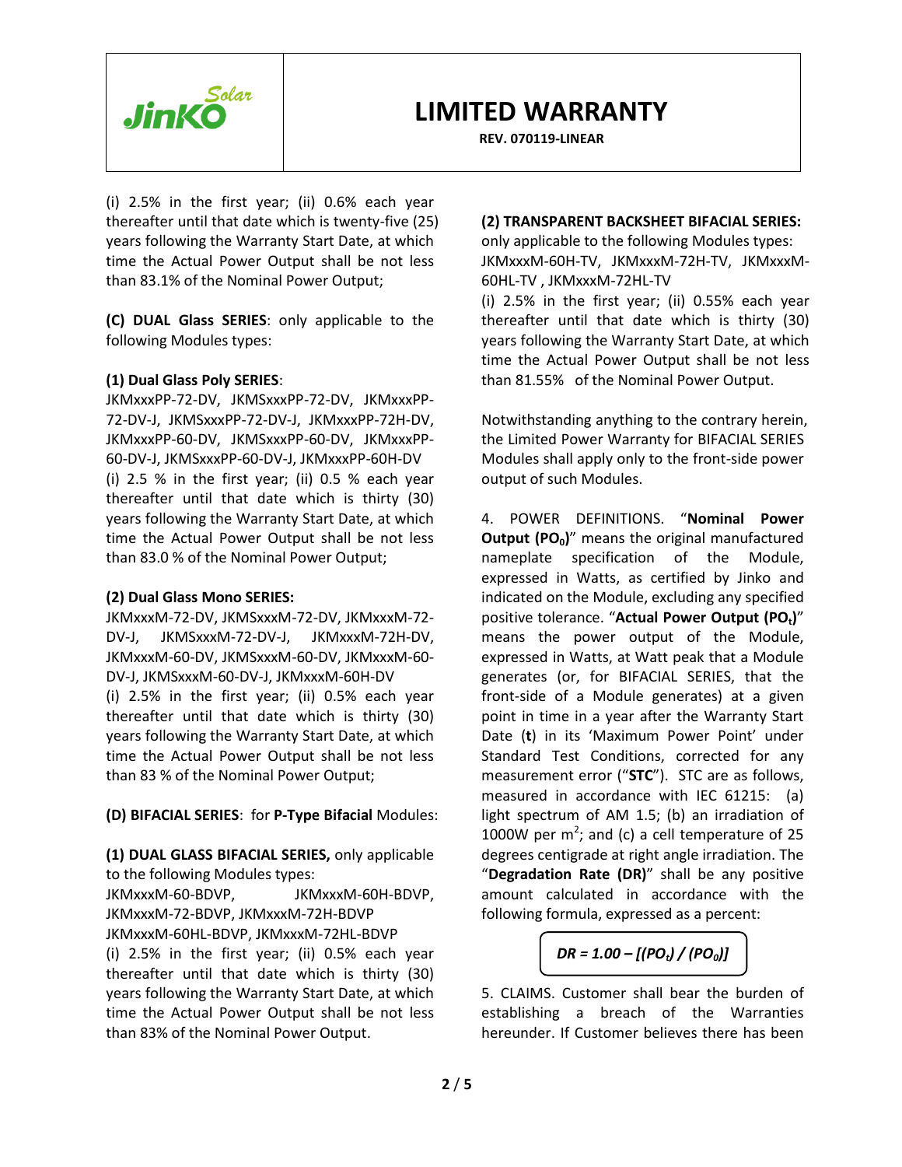

**REV. 070119-LINEAR**

(i) 2.5% in the first year; (ii) 0.6% each year thereafter until that date which is twenty-five (25) years following the Warranty Start Date, at which time the Actual Power Output shall be not less than 83.1% of the Nominal Power Output;

**(C) DUAL Glass SERIES**: only applicable to the following Modules types:

## **(1) Dual Glass Poly SERIES**:

JKMxxxPP-72-DV, JKMSxxxPP-72-DV, JKMxxxPP-72-DV-J, JKMSxxxPP-72-DV-J, JKMxxxPP-72H-DV, JKMxxxPP-60-DV, JKMSxxxPP-60-DV, JKMxxxPP-60-DV-J, JKMSxxxPP-60-DV-J, JKMxxxPP-60H-DV (i) 2.5 % in the first year; (ii) 0.5 % each year thereafter until that date which is thirty (30) years following the Warranty Start Date, at which time the Actual Power Output shall be not less than 83.0 % of the Nominal Power Output;

### **(2) Dual Glass Mono SERIES:**

JKMxxxM-72-DV, JKMSxxxM-72-DV, JKMxxxM-72- DV-J, JKMSxxxM-72-DV-J, JKMxxxM-72H-DV, JKMxxxM-60-DV, JKMSxxxM-60-DV, JKMxxxM-60- DV-J, JKMSxxxM-60-DV-J, JKMxxxM-60H-DV (i) 2.5% in the first year; (ii) 0.5% each year thereafter until that date which is thirty (30) years following the Warranty Start Date, at which time the Actual Power Output shall be not less than 83 % of the Nominal Power Output;

**(D) BIFACIAL SERIES**: for **P-Type Bifacial** Modules:

**(1) DUAL GLASS BIFACIAL SERIES,** only applicable to the following Modules types:

JKMxxxM-60-BDVP, JKMxxxM-60H-BDVP, JKMxxxM-72-BDVP, JKMxxxM-72H-BDVP JKMxxxM-60HL-BDVP, JKMxxxM-72HL-BDVP

(i) 2.5% in the first year; (ii) 0.5% each year thereafter until that date which is thirty (30) years following the Warranty Start Date, at which time the Actual Power Output shall be not less than 83% of the Nominal Power Output.

## **(2) TRANSPARENT BACKSHEET BIFACIAL SERIES:**

only applicable to the following Modules types: JKMxxxM-60H-TV, JKMxxxM-72H-TV, JKMxxxM-60HL-TV , JKMxxxM-72HL-TV

(i) 2.5% in the first year; (ii) 0.55% each year thereafter until that date which is thirty (30) years following the Warranty Start Date, at which time the Actual Power Output shall be not less than 81.55% of the Nominal Power Output.

Notwithstanding anything to the contrary herein, the Limited Power Warranty for BIFACIAL SERIES Modules shall apply only to the front-side power output of such Modules.

4. POWER DEFINITIONS. "**Nominal Power Output (PO0)**" means the original manufactured nameplate specification of the Module, expressed in Watts, as certified by Jinko and indicated on the Module, excluding any specified positive tolerance. "**Actual Power Output (POt)**" means the power output of the Module, expressed in Watts, at Watt peak that a Module generates (or, for BIFACIAL SERIES, that the front-side of a Module generates) at a given point in time in a year after the Warranty Start Date (**t**) in its 'Maximum Power Point' under Standard Test Conditions, corrected for any measurement error ("**STC**"). STC are as follows, measured in accordance with IEC 61215: (a) light spectrum of AM 1.5; (b) an irradiation of 1000W per  $m^2$ ; and (c) a cell temperature of 25 degrees centigrade at right angle irradiation. The "**Degradation Rate (DR)**" shall be any positive amount calculated in accordance with the following formula, expressed as a percent:

*DR = 1.00 – [(POt) / (PO0)]*

5. CLAIMS. Customer shall bear the burden of establishing a breach of the Warranties hereunder. If Customer believes there has been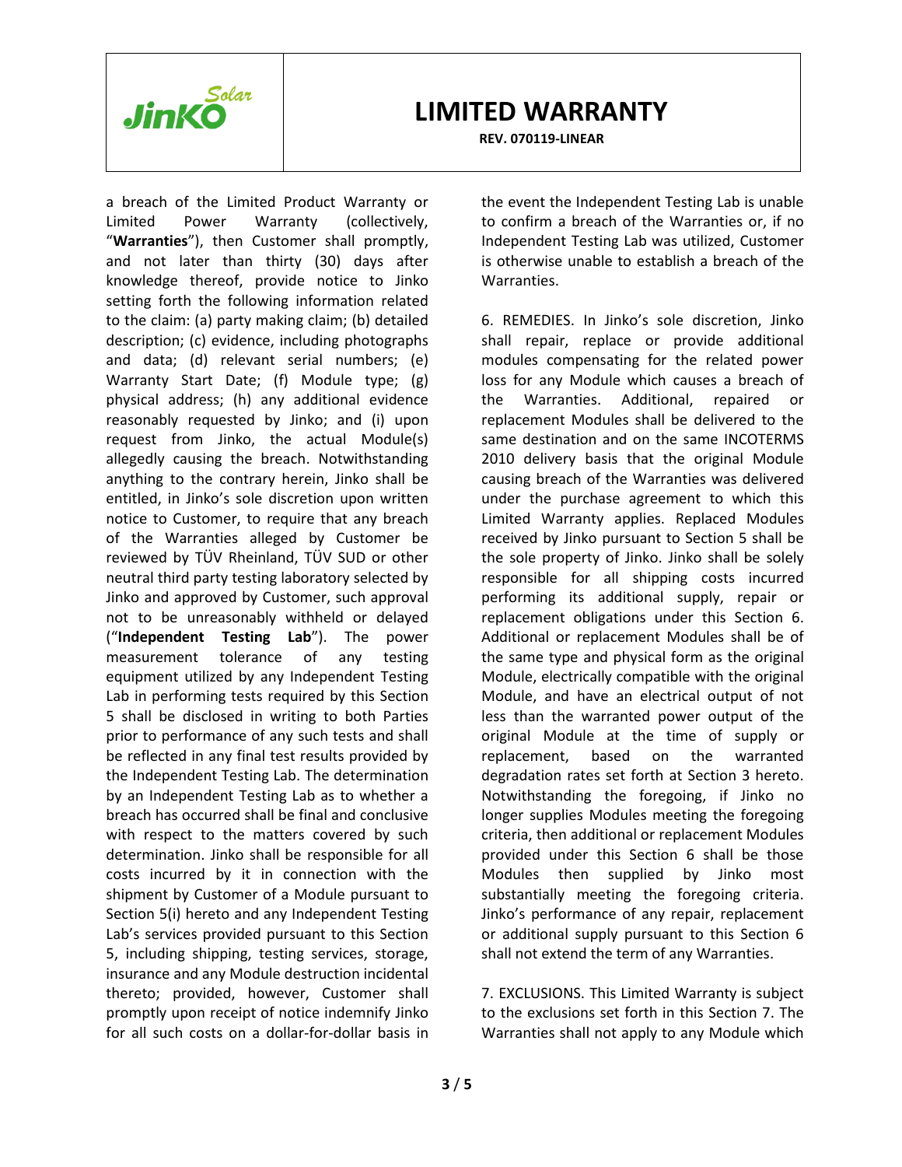

**REV. 070119-LINEAR**

a breach of the Limited Product Warranty or Limited Power Warranty (collectively, "**Warranties**"), then Customer shall promptly, and not later than thirty (30) days after knowledge thereof, provide notice to Jinko setting forth the following information related to the claim: (a) party making claim; (b) detailed description; (c) evidence, including photographs and data; (d) relevant serial numbers; (e) Warranty Start Date; (f) Module type; (g) physical address; (h) any additional evidence reasonably requested by Jinko; and (i) upon request from Jinko, the actual Module(s) allegedly causing the breach. Notwithstanding anything to the contrary herein, Jinko shall be entitled, in Jinko's sole discretion upon written notice to Customer, to require that any breach of the Warranties alleged by Customer be reviewed by TÜV Rheinland, TÜV SUD or other neutral third party testing laboratory selected by Jinko and approved by Customer, such approval not to be unreasonably withheld or delayed ("**Independent Testing Lab**"). The power measurement tolerance of any testing equipment utilized by any Independent Testing Lab in performing tests required by this Section 5 shall be disclosed in writing to both Parties prior to performance of any such tests and shall be reflected in any final test results provided by the Independent Testing Lab. The determination by an Independent Testing Lab as to whether a breach has occurred shall be final and conclusive with respect to the matters covered by such determination. Jinko shall be responsible for all costs incurred by it in connection with the shipment by Customer of a Module pursuant to Section 5(i) hereto and any Independent Testing Lab's services provided pursuant to this Section 5, including shipping, testing services, storage, insurance and any Module destruction incidental thereto; provided, however, Customer shall promptly upon receipt of notice indemnify Jinko for all such costs on a dollar-for-dollar basis in

the event the Independent Testing Lab is unable to confirm a breach of the Warranties or, if no Independent Testing Lab was utilized, Customer is otherwise unable to establish a breach of the Warranties.

6. REMEDIES. In Jinko's sole discretion, Jinko shall repair, replace or provide additional modules compensating for the related power loss for any Module which causes a breach of the Warranties. Additional, repaired or replacement Modules shall be delivered to the same destination and on the same INCOTERMS 2010 delivery basis that the original Module causing breach of the Warranties was delivered under the purchase agreement to which this Limited Warranty applies. Replaced Modules received by Jinko pursuant to Section 5 shall be the sole property of Jinko. Jinko shall be solely responsible for all shipping costs incurred performing its additional supply, repair or replacement obligations under this Section 6. Additional or replacement Modules shall be of the same type and physical form as the original Module, electrically compatible with the original Module, and have an electrical output of not less than the warranted power output of the original Module at the time of supply or replacement, based on the warranted degradation rates set forth at Section 3 hereto. Notwithstanding the foregoing, if Jinko no longer supplies Modules meeting the foregoing criteria, then additional or replacement Modules provided under this Section 6 shall be those Modules then supplied by Jinko most substantially meeting the foregoing criteria. Jinko's performance of any repair, replacement or additional supply pursuant to this Section 6 shall not extend the term of any Warranties.

7. EXCLUSIONS. This Limited Warranty is subject to the exclusions set forth in this Section 7. The Warranties shall not apply to any Module which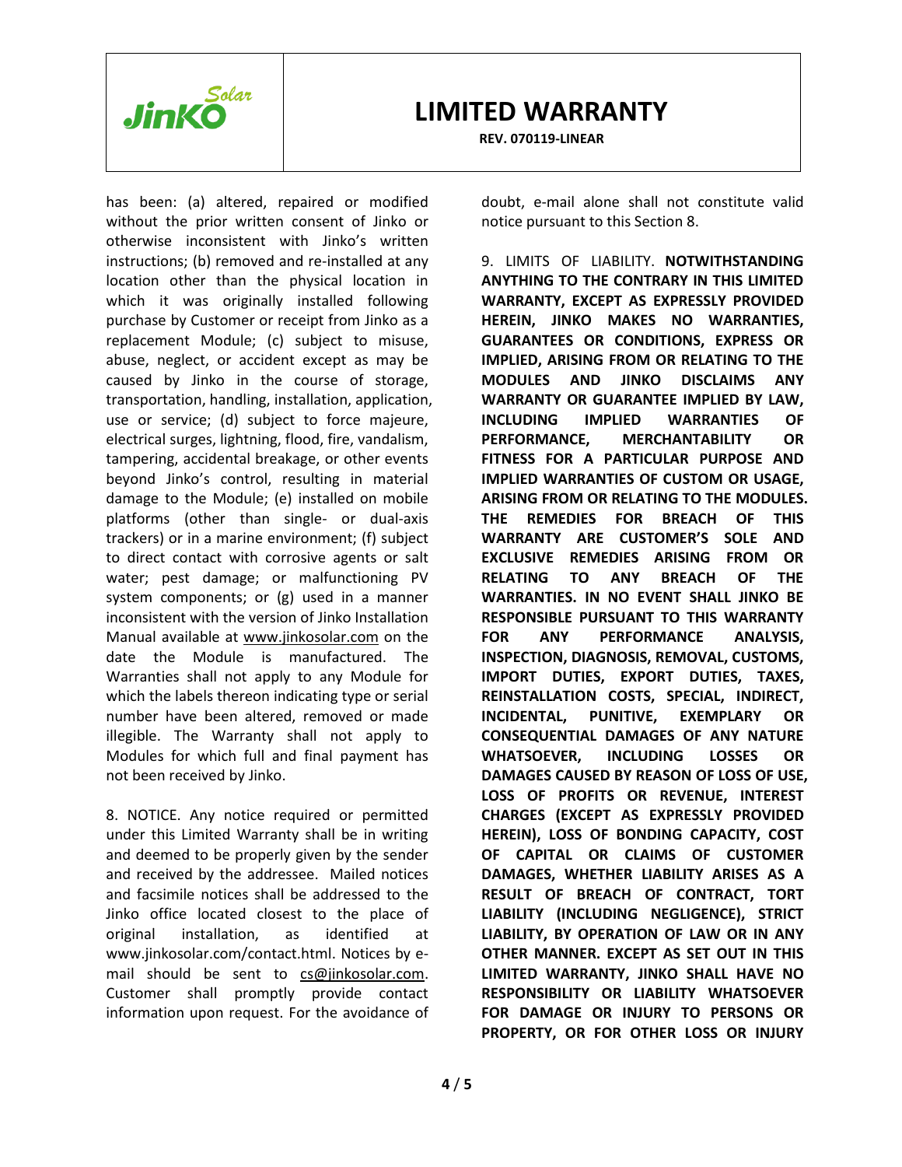

**REV. 070119-LINEAR**

has been: (a) altered, repaired or modified without the prior written consent of Jinko or otherwise inconsistent with Jinko's written instructions; (b) removed and re-installed at any location other than the physical location in which it was originally installed following purchase by Customer or receipt from Jinko as a replacement Module; (c) subject to misuse, abuse, neglect, or accident except as may be caused by Jinko in the course of storage, transportation, handling, installation, application, use or service; (d) subject to force majeure, electrical surges, lightning, flood, fire, vandalism, tampering, accidental breakage, or other events beyond Jinko's control, resulting in material damage to the Module; (e) installed on mobile platforms (other than single- or dual-axis trackers) or in a marine environment; (f) subject to direct contact with corrosive agents or salt water; pest damage; or malfunctioning PV system components; or (g) used in a manner inconsistent with the version of Jinko Installation Manual available at [www.jinkosolar.com](http://www.jinkosolar.com/) on the date the Module is manufactured. The Warranties shall not apply to any Module for which the labels thereon indicating type or serial number have been altered, removed or made illegible. The Warranty shall not apply to Modules for which full and final payment has not been received by Jinko.

8. NOTICE. Any notice required or permitted under this Limited Warranty shall be in writing and deemed to be properly given by the sender and received by the addressee. Mailed notices and facsimile notices shall be addressed to the Jinko office located closest to the place of original installation, as identified at www.jinkosolar.com/contact.html. Notices by email should be sent to [cs@jinkosolar.com.](mailto:cs@jinkosolar.com) Customer shall promptly provide contact information upon request. For the avoidance of doubt, e-mail alone shall not constitute valid notice pursuant to this Section 8.

9. LIMITS OF LIABILITY. **NOTWITHSTANDING ANYTHING TO THE CONTRARY IN THIS LIMITED WARRANTY, EXCEPT AS EXPRESSLY PROVIDED HEREIN, JINKO MAKES NO WARRANTIES, GUARANTEES OR CONDITIONS, EXPRESS OR IMPLIED, ARISING FROM OR RELATING TO THE MODULES AND JINKO DISCLAIMS ANY WARRANTY OR GUARANTEE IMPLIED BY LAW, INCLUDING IMPLIED WARRANTIES OF PERFORMANCE, MERCHANTABILITY OR FITNESS FOR A PARTICULAR PURPOSE AND IMPLIED WARRANTIES OF CUSTOM OR USAGE, ARISING FROM OR RELATING TO THE MODULES. THE REMEDIES FOR BREACH OF THIS WARRANTY ARE CUSTOMER'S SOLE AND EXCLUSIVE REMEDIES ARISING FROM OR RELATING TO ANY BREACH OF THE WARRANTIES. IN NO EVENT SHALL JINKO BE RESPONSIBLE PURSUANT TO THIS WARRANTY FOR ANY PERFORMANCE ANALYSIS, INSPECTION, DIAGNOSIS, REMOVAL, CUSTOMS, IMPORT DUTIES, EXPORT DUTIES, TAXES, REINSTALLATION COSTS, SPECIAL, INDIRECT, INCIDENTAL, PUNITIVE, EXEMPLARY OR CONSEQUENTIAL DAMAGES OF ANY NATURE WHATSOEVER, INCLUDING LOSSES OR DAMAGES CAUSED BY REASON OF LOSS OF USE, LOSS OF PROFITS OR REVENUE, INTEREST CHARGES (EXCEPT AS EXPRESSLY PROVIDED HEREIN), LOSS OF BONDING CAPACITY, COST OF CAPITAL OR CLAIMS OF CUSTOMER DAMAGES, WHETHER LIABILITY ARISES AS A RESULT OF BREACH OF CONTRACT, TORT LIABILITY (INCLUDING NEGLIGENCE), STRICT LIABILITY, BY OPERATION OF LAW OR IN ANY OTHER MANNER. EXCEPT AS SET OUT IN THIS LIMITED WARRANTY, JINKO SHALL HAVE NO RESPONSIBILITY OR LIABILITY WHATSOEVER FOR DAMAGE OR INJURY TO PERSONS OR PROPERTY, OR FOR OTHER LOSS OR INJURY**